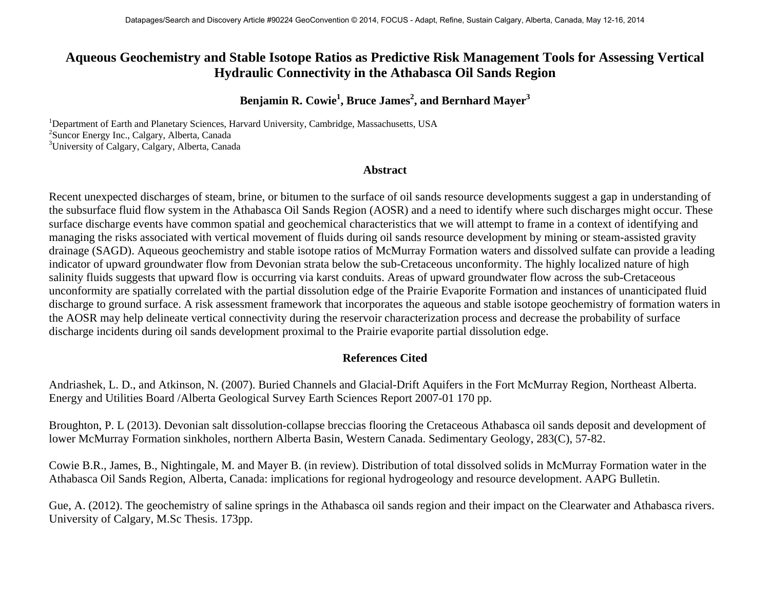## **Aqueous Geochemistry and Stable Isotope Ratios as Predictive Risk Management Tools for Assessing Vertical Hydraulic Connectivity in the Athabasca Oil Sands Region**

## **Benjamin R. Cowie<sup>1</sup> , Bruce James<sup>2</sup> , and Bernhard Mayer<sup>3</sup>**

<sup>1</sup>Department of Earth and Planetary Sciences, Harvard University, Cambridge, Massachusetts, USA<br><sup>2</sup>Supeer Energy Ine Celegry, Alberta Canada <sup>2</sup>Suncor Energy Inc., Calgary, Alberta, Canada <sup>3</sup>University of Calgary, Calgary, Alberta, Canada

## **Abstract**

Recent unexpected discharges of steam, brine, or bitumen to the surface of oil sands resource developments suggest a gap in understanding of the subsurface fluid flow system in the Athabasca Oil Sands Region (AOSR) and a need to identify where such discharges might occur. These surface discharge events have common spatial and geochemical characteristics that we will attempt to frame in a context of identifying and managing the risks associated with vertical movement of fluids during oil sands resource development by mining or steam-assisted gravity drainage (SAGD). Aqueous geochemistry and stable isotope ratios of McMurray Formation waters and dissolved sulfate can provide a leading indicator of upward groundwater flow from Devonian strata below the sub-Cretaceous unconformity. The highly localized nature of high salinity fluids suggests that upward flow is occurring via karst conduits. Areas of upward groundwater flow across the sub-Cretaceous unconformity are spatially correlated with the partial dissolution edge of the Prairie Evaporite Formation and instances of unanticipated fluid discharge to ground surface. A risk assessment framework that incorporates the aqueous and stable isotope geochemistry of formation waters in the AOSR may help delineate vertical connectivity during the reservoir characterization process and decrease the probability of surface discharge incidents during oil sands development proximal to the Prairie evaporite partial dissolution edge.

## **References Cited**

Andriashek, L. D., and Atkinson, N. (2007). Buried Channels and Glacial-Drift Aquifers in the Fort McMurray Region, Northeast Alberta. Energy and Utilities Board /Alberta Geological Survey Earth Sciences Report 2007-01 170 pp.

Broughton, P. L (2013). Devonian salt dissolution-collapse breccias flooring the Cretaceous Athabasca oil sands deposit and development of lower McMurray Formation sinkholes, northern Alberta Basin, Western Canada. Sedimentary Geology, 283(C), 57-82.

Cowie B.R., James, B., Nightingale, M. and Mayer B. (in review). Distribution of total dissolved solids in McMurray Formation water in the Athabasca Oil Sands Region, Alberta, Canada: implications for regional hydrogeology and resource development. AAPG Bulletin.

Gue, A. (2012). The geochemistry of saline springs in the Athabasca oil sands region and their impact on the Clearwater and Athabasca rivers. University of Calgary, M.Sc Thesis. 173pp.